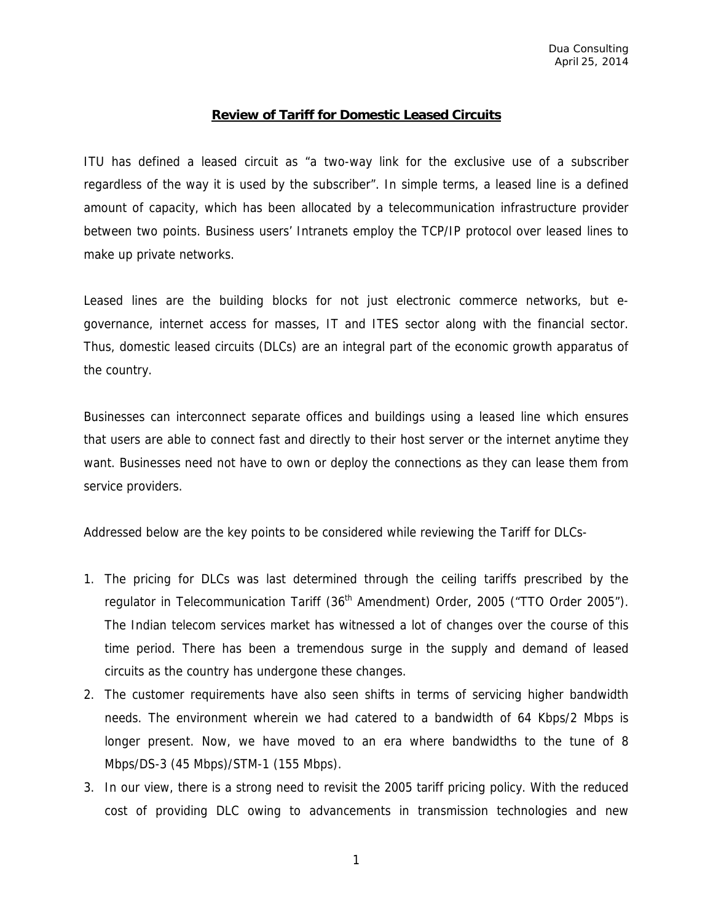#### **Review of Tariff for Domestic Leased Circuits**

ITU has defined a leased circuit as "a two-way link for the exclusive use of a subscriber regardless of the way it is used by the subscriber". In simple terms, a leased line is a defined amount of capacity, which has been allocated by a telecommunication infrastructure provider between two points. Business users' Intranets employ the TCP/IP protocol over leased lines to make up private networks.

Leased lines are the building blocks for not just electronic commerce networks, but egovernance, internet access for masses, IT and ITES sector along with the financial sector. Thus, domestic leased circuits (DLCs) are an integral part of the economic growth apparatus of the country.

Businesses can interconnect separate offices and buildings using a leased line which ensures that users are able to connect fast and directly to their host server or the internet anytime they want. Businesses need not have to own or deploy the connections as they can lease them from service providers.

Addressed below are the key points to be considered while reviewing the Tariff for DLCs-

- 1. The pricing for DLCs was last determined through the ceiling tariffs prescribed by the regulator in Telecommunication Tariff (36<sup>th</sup> Amendment) Order, 2005 ("TTO Order 2005"). The Indian telecom services market has witnessed a lot of changes over the course of this time period. There has been a tremendous surge in the supply and demand of leased circuits as the country has undergone these changes.
- 2. The customer requirements have also seen shifts in terms of servicing higher bandwidth needs. The environment wherein we had catered to a bandwidth of 64 Kbps/2 Mbps is longer present. Now, we have moved to an era where bandwidths to the tune of 8 Mbps/DS-3 (45 Mbps)/STM-1 (155 Mbps).
- 3. In our view, there is a strong need to revisit the 2005 tariff pricing policy. With the reduced cost of providing DLC owing to advancements in transmission technologies and new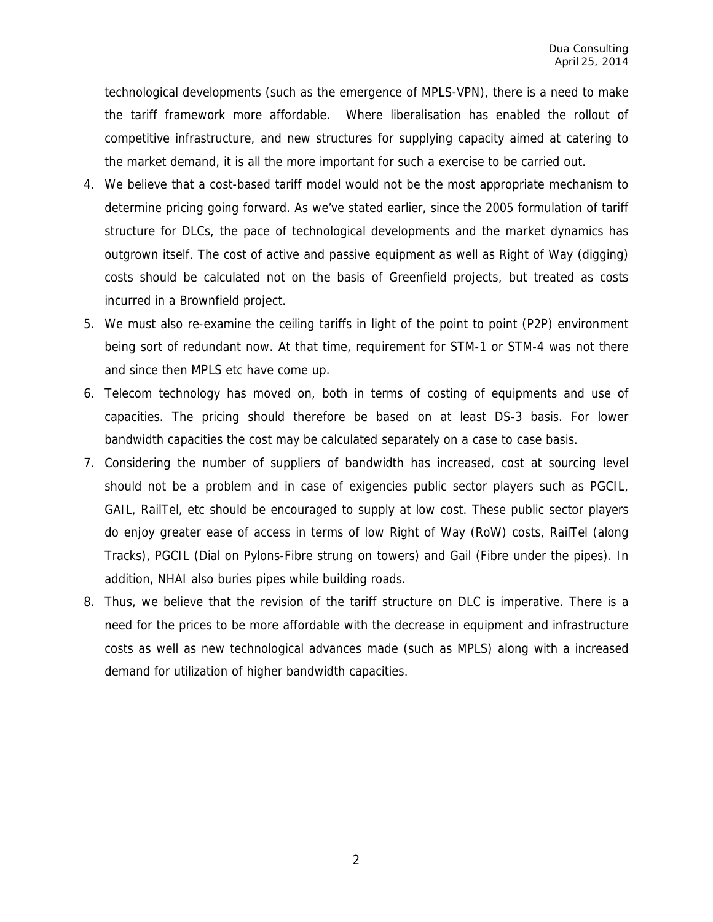technological developments (such as the emergence of MPLS-VPN), there is a need to make the tariff framework more affordable. Where liberalisation has enabled the rollout of competitive infrastructure, and new structures for supplying capacity aimed at catering to the market demand, it is all the more important for such a exercise to be carried out.

- 4. We believe that a cost-based tariff model would not be the most appropriate mechanism to determine pricing going forward. As we've stated earlier, since the 2005 formulation of tariff structure for DLCs, the pace of technological developments and the market dynamics has outgrown itself. The cost of active and passive equipment as well as Right of Way (digging) costs should be calculated not on the basis of Greenfield projects, but treated as costs incurred in a Brownfield project.
- 5. We must also re-examine the ceiling tariffs in light of the point to point (P2P) environment being sort of redundant now. At that time, requirement for STM-1 or STM-4 was not there and since then MPLS etc have come up.
- 6. Telecom technology has moved on, both in terms of costing of equipments and use of capacities. The pricing should therefore be based on at least DS-3 basis. For lower bandwidth capacities the cost may be calculated separately on a case to case basis.
- 7. Considering the number of suppliers of bandwidth has increased, cost at sourcing level should not be a problem and in case of exigencies public sector players such as PGCIL, GAIL, RailTel, etc should be encouraged to supply at low cost. These public sector players do enjoy greater ease of access in terms of low Right of Way (RoW) costs, RailTel (along Tracks), PGCIL (Dial on Pylons-Fibre strung on towers) and Gail (Fibre under the pipes). In addition, NHAI also buries pipes while building roads.
- 8. Thus, we believe that the revision of the tariff structure on DLC is imperative. There is a need for the prices to be more affordable with the decrease in equipment and infrastructure costs as well as new technological advances made (such as MPLS) along with a increased demand for utilization of higher bandwidth capacities.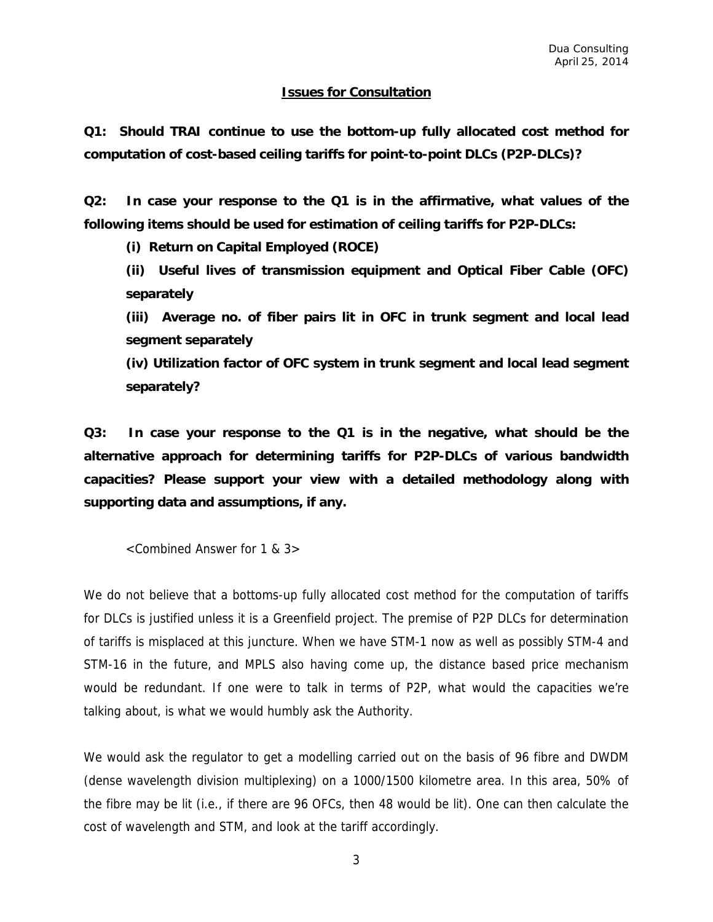#### **Issues for Consultation**

**Q1: Should TRAI continue to use the bottom-up fully allocated cost method for computation of cost-based ceiling tariffs for point-to-point DLCs (P2P-DLCs)?** 

**Q2: In case your response to the Q1 is in the affirmative, what values of the following items should be used for estimation of ceiling tariffs for P2P-DLCs:** 

**(i) Return on Capital Employed (ROCE)** 

**(ii) Useful lives of transmission equipment and Optical Fiber Cable (OFC) separately** 

**(iii) Average no. of fiber pairs lit in OFC in trunk segment and local lead segment separately** 

**(iv) Utilization factor of OFC system in trunk segment and local lead segment separately?** 

**Q3: In case your response to the Q1 is in the negative, what should be the alternative approach for determining tariffs for P2P-DLCs of various bandwidth capacities? Please support your view with a detailed methodology along with supporting data and assumptions, if any.** 

<Combined Answer for 1 & 3>

We do not believe that a bottoms-up fully allocated cost method for the computation of tariffs for DLCs is justified unless it is a Greenfield project. The premise of P2P DLCs for determination of tariffs is misplaced at this juncture. When we have STM-1 now as well as possibly STM-4 and STM-16 in the future, and MPLS also having come up, the distance based price mechanism would be redundant. If one were to talk in terms of P2P, what would the capacities we're talking about, is what we would humbly ask the Authority.

We would ask the regulator to get a modelling carried out on the basis of 96 fibre and DWDM (dense wavelength division multiplexing) on a 1000/1500 kilometre area. In this area, 50% of the fibre may be lit (i.e., if there are 96 OFCs, then 48 would be lit). One can then calculate the cost of wavelength and STM, and look at the tariff accordingly.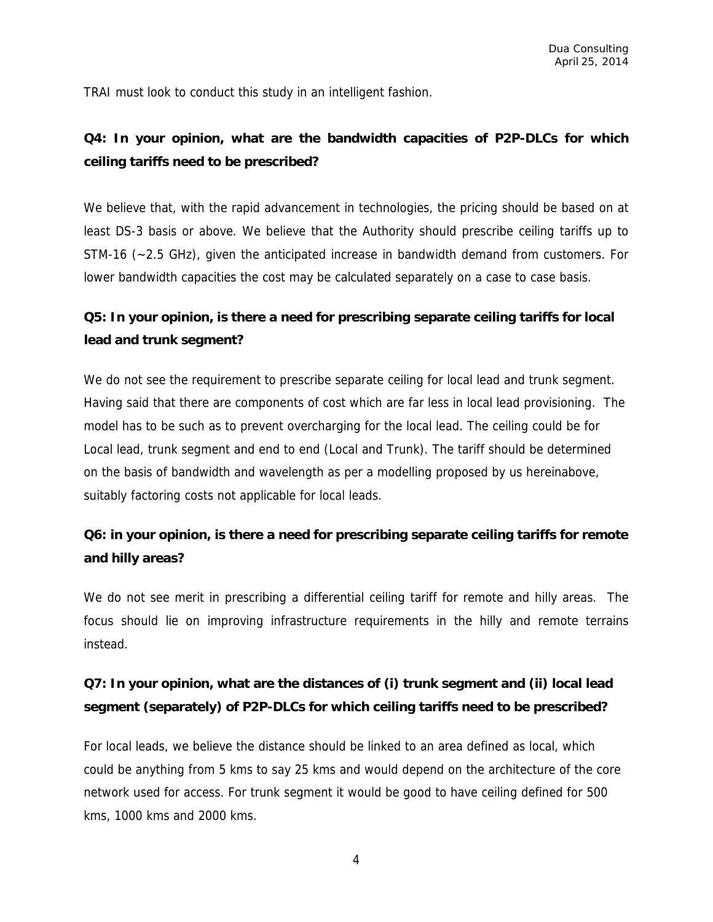TRAI must look to conduct this study in an intelligent fashion.

### **Q4: In your opinion, what are the bandwidth capacities of P2P-DLCs for which ceiling tariffs need to be prescribed?**

We believe that, with the rapid advancement in technologies, the pricing should be based on at least DS-3 basis or above. We believe that the Authority should prescribe ceiling tariffs up to STM-16 (~2.5 GHz), given the anticipated increase in bandwidth demand from customers. For lower bandwidth capacities the cost may be calculated separately on a case to case basis.

### **Q5: In your opinion, is there a need for prescribing separate ceiling tariffs for local lead and trunk segment?**

We do not see the requirement to prescribe separate ceiling for local lead and trunk segment. Having said that there are components of cost which are far less in local lead provisioning. The model has to be such as to prevent overcharging for the local lead. The ceiling could be for Local lead, trunk segment and end to end (Local and Trunk). The tariff should be determined on the basis of bandwidth and wavelength as per a modelling proposed by us hereinabove, suitably factoring costs not applicable for local leads.

### **Q6: in your opinion, is there a need for prescribing separate ceiling tariffs for remote and hilly areas?**

We do not see merit in prescribing a differential ceiling tariff for remote and hilly areas. The focus should lie on improving infrastructure requirements in the hilly and remote terrains instead.

### **Q7: In your opinion, what are the distances of (i) trunk segment and (ii) local lead segment (separately) of P2P-DLCs for which ceiling tariffs need to be prescribed?**

For local leads, we believe the distance should be linked to an area defined as local, which could be anything from 5 kms to say 25 kms and would depend on the architecture of the core network used for access. For trunk segment it would be good to have ceiling defined for 500 kms, 1000 kms and 2000 kms.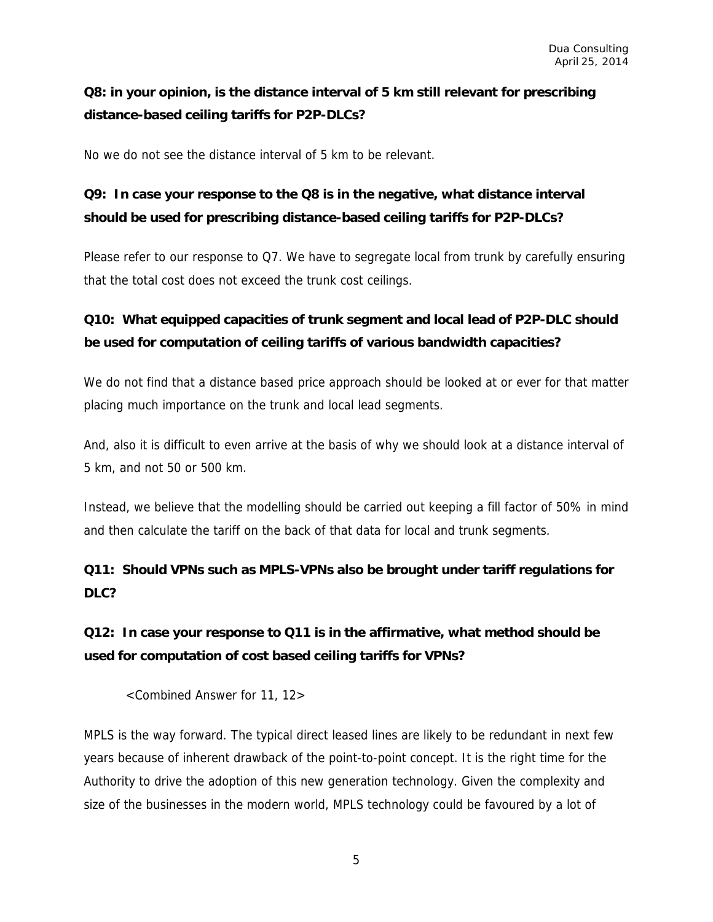### **Q8: in your opinion, is the distance interval of 5 km still relevant for prescribing distance-based ceiling tariffs for P2P-DLCs?**

No we do not see the distance interval of 5 km to be relevant.

## **Q9: In case your response to the Q8 is in the negative, what distance interval should be used for prescribing distance-based ceiling tariffs for P2P-DLCs?**

Please refer to our response to Q7. We have to segregate local from trunk by carefully ensuring that the total cost does not exceed the trunk cost ceilings.

## **Q10: What equipped capacities of trunk segment and local lead of P2P-DLC should be used for computation of ceiling tariffs of various bandwidth capacities?**

We do not find that a distance based price approach should be looked at or ever for that matter placing much importance on the trunk and local lead segments.

And, also it is difficult to even arrive at the basis of why we should look at a distance interval of 5 km, and not 50 or 500 km.

Instead, we believe that the modelling should be carried out keeping a fill factor of 50% in mind and then calculate the tariff on the back of that data for local and trunk segments.

## **Q11: Should VPNs such as MPLS-VPNs also be brought under tariff regulations for DLC?**

## **Q12: In case your response to Q11 is in the affirmative, what method should be used for computation of cost based ceiling tariffs for VPNs?**

<Combined Answer for 11, 12>

MPLS is the way forward. The typical direct leased lines are likely to be redundant in next few years because of inherent drawback of the point-to-point concept. It is the right time for the Authority to drive the adoption of this new generation technology. Given the complexity and size of the businesses in the modern world, MPLS technology could be favoured by a lot of